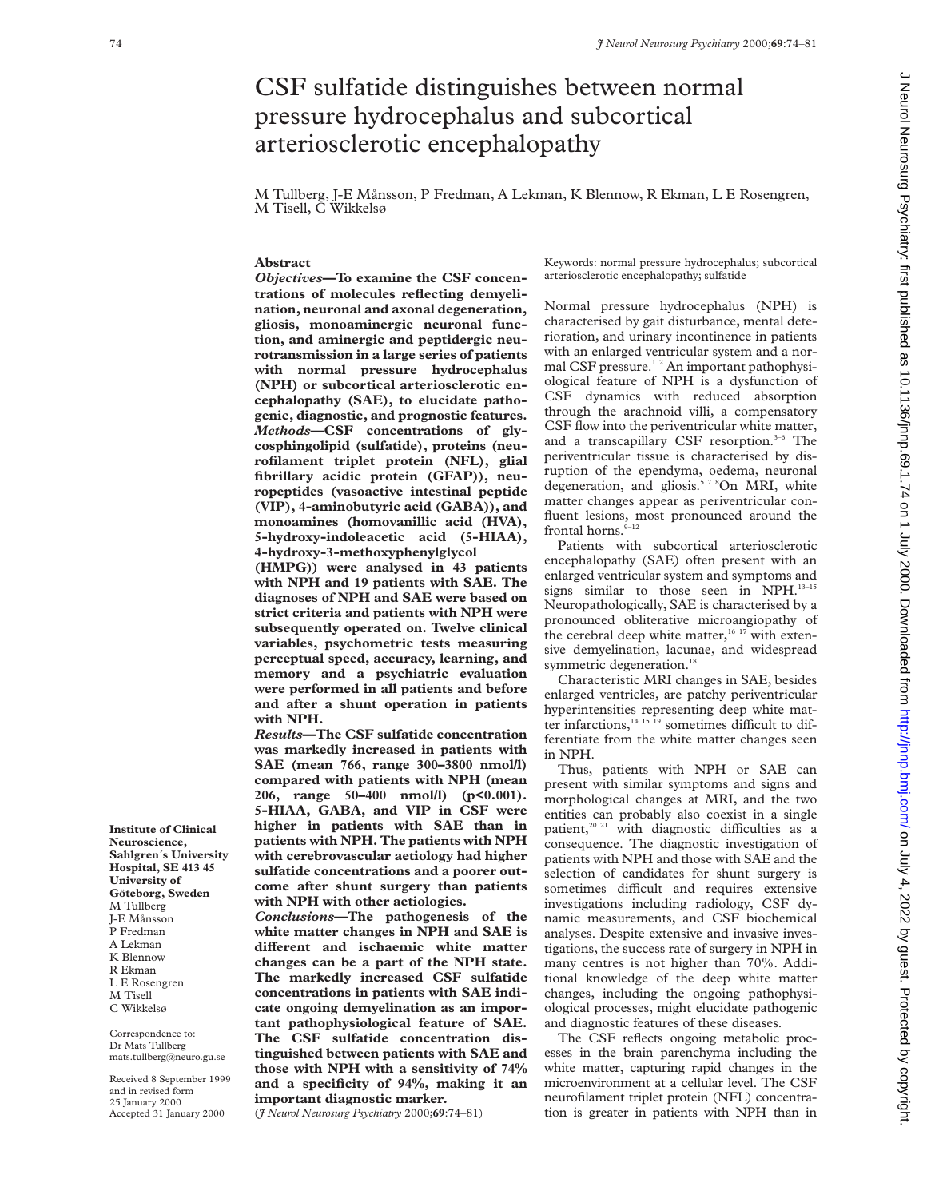# CSF sulfatide distinguishes between normal pressure hydrocephalus and subcortical arteriosclerotic encephalopathy

M Tullberg, J-E Månsson, P Fredman, A Lekman, K Blennow, R Ekman, L E Rosengren, M Tisell, C Wikkelsø

## **Abstract**

*Objectives***—To examine the CSF concentrations of molecules reflecting demyelination, neuronal and axonal degeneration, gliosis, monoaminergic neuronal function, and aminergic and peptidergic neurotransmission in a large series of patients with normal pressure hydrocephalus (NPH) or subcortical arteriosclerotic encephalopathy (SAE), to elucidate pathogenic, diagnostic, and prognostic features.** *Methods***—CSF concentrations of glycosphingolipid (sulfatide), proteins (neurofilament triplet protein (NFL), glial fibrillary acidic protein (GFAP)), neuropeptides (vasoactive intestinal peptide (VIP), 4-aminobutyric acid (GABA)), and monoamines (homovanillic acid (HVA), 5-hydroxy-indoleacetic acid (5-HIAA), 4-hydroxy-3-methoxyphenylglycol**

**(HMPG)) were analysed in 43 patients with NPH and 19 patients with SAE. The diagnoses of NPH and SAE were based on strict criteria and patients with NPH were subsequently operated on. Twelve clinical variables, psychometric tests measuring perceptual speed, accuracy, learning, and memory and a psychiatric evaluation were performed in all patients and before and after a shunt operation in patients with NPH.**

*Results***—The CSF sulfatide concentration was markedly increased in patients with SAE (mean 766, range 300–3800 nmol/l) compared with patients with NPH (mean 206, range 50–400 nmol/l) (p<0.001). 5-HIAA, GABA, and VIP in CSF were higher in patients with SAE than in patients with NPH. The patients with NPH with cerebrovascular aetiology had higher sulfatide concentrations and a poorer outcome after shunt surgery than patients with NPH with other aetiologies.**

*Conclusions***—The pathogenesis of the white matter changes in NPH and SAE is** different and ischaemic white matter **changes can be a part of the NPH state. The markedly increased CSF sulfatide concentrations in patients with SAE indicate ongoing demyelination as an important pathophysiological feature of SAE. The CSF sulfatide concentration distinguished between patients with SAE and those with NPH with a sensitivity of 74% and a specificity of 94%, making it an important diagnostic marker.**

(*J Neurol Neurosurg Psychiatry* 2000;**69**:74–81)

Keywords: normal pressure hydrocephalus; subcortical arteriosclerotic encephalopathy; sulfatide

Normal pressure hydrocephalus (NPH) is characterised by gait disturbance, mental deterioration, and urinary incontinence in patients with an enlarged ventricular system and a normal CSF pressure.<sup>12</sup> An important pathophysiological feature of NPH is a dysfunction of CSF dynamics with reduced absorption through the arachnoid villi, a compensatory CSF flow into the periventricular white matter, and a transcapillary CSF resorption.<sup>3-6</sup> The periventricular tissue is characterised by disruption of the ependyma, oedema, neuronal degeneration, and gliosis.<sup>578</sup>On MRI, white matter changes appear as periventricular confluent lesions, most pronounced around the frontal horns. $9-12$ 

Patients with subcortical arteriosclerotic encephalopathy (SAE) often present with an enlarged ventricular system and symptoms and signs similar to those seen in NPH.<sup>13-15</sup> Neuropathologically, SAE is characterised by a pronounced obliterative microangiopathy of the cerebral deep white matter,<sup>16 17</sup> with extensive demyelination, lacunae, and widespread symmetric degeneration.<sup>18</sup>

Characteristic MRI changes in SAE, besides enlarged ventricles, are patchy periventricular hyperintensities representing deep white matter infarctions, $14 \times 15 \times 19$  sometimes difficult to differentiate from the white matter changes seen in NPH.

Thus, patients with NPH or SAE can present with similar symptoms and signs and morphological changes at MRI, and the two entities can probably also coexist in a single patient,<sup>20 21</sup> with diagnostic difficulties as a consequence. The diagnostic investigation of patients with NPH and those with SAE and the selection of candidates for shunt surgery is sometimes difficult and requires extensive investigations including radiology, CSF dynamic measurements, and CSF biochemical analyses. Despite extensive and invasive investigations, the success rate of surgery in NPH in many centres is not higher than 70%. Additional knowledge of the deep white matter changes, including the ongoing pathophysiological processes, might elucidate pathogenic and diagnostic features of these diseases.

The CSF reflects ongoing metabolic processes in the brain parenchyma including the white matter, capturing rapid changes in the microenvironment at a cellular level. The CSF neurofilament triplet protein (NFL) concentration is greater in patients with NPH than in

nd July 4, 2022 by guest Protected by copyright. Http://jnnp.bom/ J Neurol Neurol Neurol Neurol Neurol Neurol Neurol Neurol Neurol Neurol Neurol Neurol Neurol Neurol Neurol Neurol Neurol Neurol Neurol Neurol Neurol Neurol Neurol Neurosurg Psychiatry: first published as 10.11136/jnnp.69.1.74 on 1 July 2000. Downloaded from http://jnnp.bmj.com/ on July 4, 2022 by guest. Protected by copyright

**Neuroscience, Sahlgren´s University Hospital, SE 413 45 University of Göteborg, Sweden** M Tullberg J-E Månsson P Fredman A Lekman K Blennow R Ekman L E Rosengren M Tisell C Wikkelsø

**Institute of Clinical**

Correspondence to: Dr Mats Tullberg mats.tullberg@neuro.gu.se

Received 8 September 1999 and in revised form 25 January 2000 Accepted 31 January 2000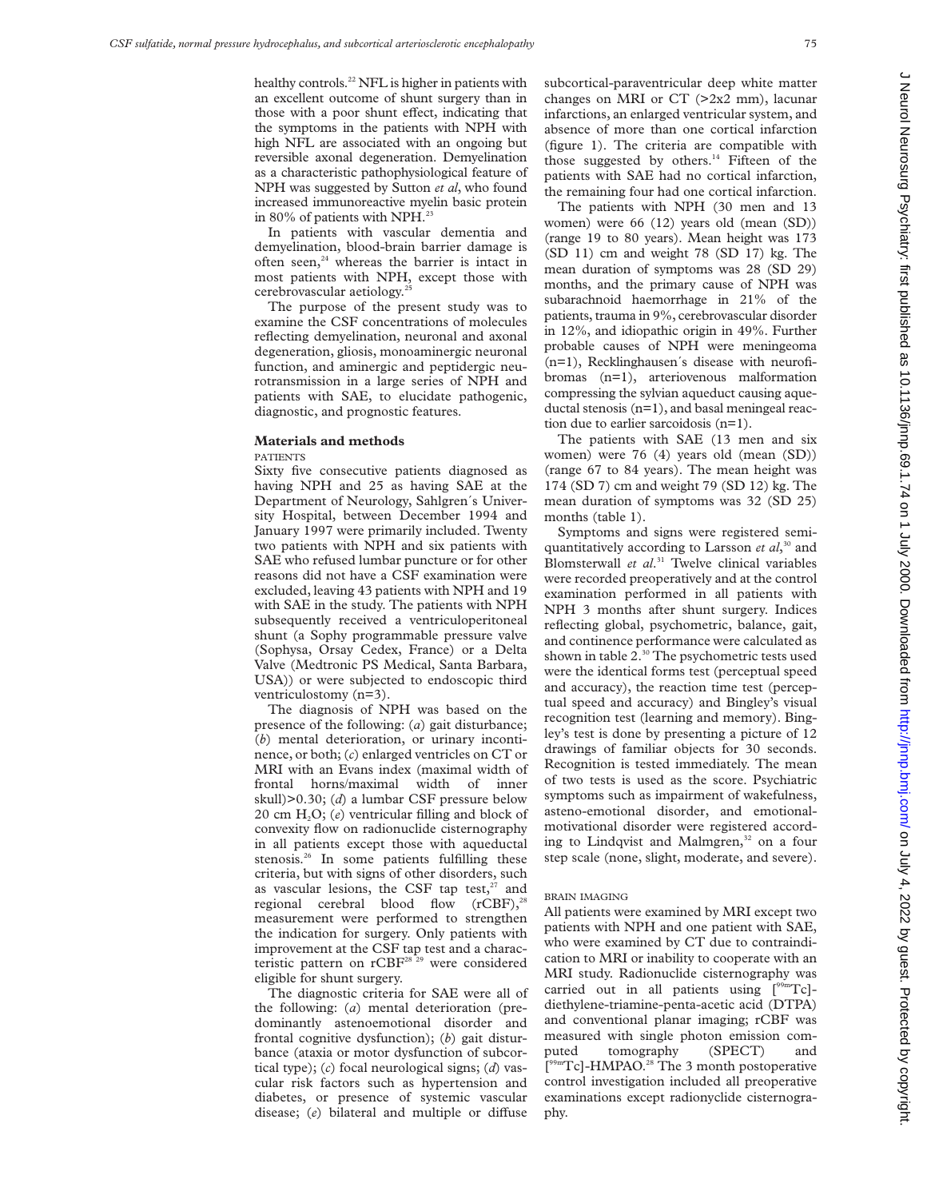healthy controls.<sup>22</sup> NFL is higher in patients with an excellent outcome of shunt surgery than in those with a poor shunt effect, indicating that the symptoms in the patients with NPH with high NFL are associated with an ongoing but reversible axonal degeneration. Demyelination as a characteristic pathophysiological feature of NPH was suggested by Sutton *et al*, who found increased immunoreactive myelin basic protein in 80% of patients with NPH.<sup>23</sup>

In patients with vascular dementia and demyelination, blood-brain barrier damage is often seen, $24$  whereas the barrier is intact in most patients with NPH, except those with cerebrovascular aetiology.25

The purpose of the present study was to examine the CSF concentrations of molecules reflecting demyelination, neuronal and axonal degeneration, gliosis, monoaminergic neuronal function, and aminergic and peptidergic neurotransmission in a large series of NPH and patients with SAE, to elucidate pathogenic, diagnostic, and prognostic features.

#### **Materials and methods**

PATIENTS

Sixty five consecutive patients diagnosed as having NPH and 25 as having SAE at the Department of Neurology, Sahlgren´s University Hospital, between December 1994 and January 1997 were primarily included. Twenty two patients with NPH and six patients with SAE who refused lumbar puncture or for other reasons did not have a CSF examination were excluded, leaving 43 patients with NPH and 19 with SAE in the study. The patients with NPH subsequently received a ventriculoperitoneal shunt (a Sophy programmable pressure valve (Sophysa, Orsay Cedex, France) or a Delta Valve (Medtronic PS Medical, Santa Barbara, USA)) or were subjected to endoscopic third ventriculostomy (n=3).

The diagnosis of NPH was based on the presence of the following: (*a*) gait disturbance; (*b*) mental deterioration, or urinary incontinence, or both; (*c*) enlarged ventricles on CT or MRI with an Evans index (maximal width of frontal horns/maximal width of inner skull)>0.30; (*d*) a lumbar CSF pressure below 20 cm H2O; (*e*) ventricular filling and block of convexity flow on radionuclide cisternography in all patients except those with aqueductal stenosis.<sup>26</sup> In some patients fulfilling these criteria, but with signs of other disorders, such as vascular lesions, the CSF tap test, $27$  and regional cerebral blood flow  $(rCBF)$ ,<sup>2</sup> measurement were performed to strengthen the indication for surgery. Only patients with improvement at the CSF tap test and a characteristic pattern on rCBF28 29 were considered eligible for shunt surgery.

The diagnostic criteria for SAE were all of the following: (*a*) mental deterioration (predominantly astenoemotional disorder and frontal cognitive dysfunction); (*b*) gait disturbance (ataxia or motor dysfunction of subcortical type); (*c*) focal neurological signs; (*d*) vascular risk factors such as hypertension and diabetes, or presence of systemic vascular disease; (e) bilateral and multiple or diffuse

subcortical-paraventricular deep white matter changes on MRI or  $CT$  ( $>2x2$  mm), lacunar infarctions, an enlarged ventricular system, and absence of more than one cortical infarction (figure 1). The criteria are compatible with those suggested by others.<sup>14</sup> Fifteen of the patients with SAE had no cortical infarction, the remaining four had one cortical infarction.

The patients with NPH (30 men and 13 women) were 66 (12) years old (mean (SD)) (range 19 to 80 years). Mean height was 173 (SD 11) cm and weight 78 (SD 17) kg. The mean duration of symptoms was 28 (SD 29) months, and the primary cause of NPH was subarachnoid haemorrhage in 21% of the patients, trauma in 9%, cerebrovascular disorder in 12%, and idiopathic origin in 49%. Further probable causes of NPH were meningeoma (n=1), Recklinghausen´s disease with neurofibromas (n=1), arteriovenous malformation compressing the sylvian aqueduct causing aqueductal stenosis (n=1), and basal meningeal reaction due to earlier sarcoidosis (n=1).

The patients with SAE (13 men and six women) were 76 (4) years old (mean (SD)) (range 67 to 84 years). The mean height was 174 (SD 7) cm and weight 79 (SD 12) kg. The mean duration of symptoms was 32 (SD 25) months (table 1).

Symptoms and signs were registered semiquantitatively according to Larsson *et al*, <sup>30</sup> and Blomsterwall *et al*. <sup>31</sup> Twelve clinical variables were recorded preoperatively and at the control examination performed in all patients with NPH 3 months after shunt surgery. Indices reflecting global, psychometric, balance, gait, and continence performance were calculated as shown in table 2.<sup>30</sup> The psychometric tests used were the identical forms test (perceptual speed and accuracy), the reaction time test (perceptual speed and accuracy) and Bingley's visual recognition test (learning and memory). Bingley's test is done by presenting a picture of 12 drawings of familiar objects for 30 seconds. Recognition is tested immediately. The mean of two tests is used as the score. Psychiatric symptoms such as impairment of wakefulness, asteno-emotional disorder, and emotionalmotivational disorder were registered according to Lindqvist and Malmgren, $32$  on a four step scale (none, slight, moderate, and severe).

## BRAIN IMAGING

All patients were examined by MRI except two patients with NPH and one patient with SAE, who were examined by CT due to contraindication to MRI or inability to cooperate with an MRI study. Radionuclide cisternography was carried out in all patients using  $[{}^{99m}Tc]$ diethylene-triamine-penta-acetic acid (DTPA) and conventional planar imaging; rCBF was measured with single photon emission computed tomography (SPECT) and [<sup>99mT</sup>c]-HMPAO.<sup>28</sup> The 3 month postoperative control investigation included all preoperative examinations except radionyclide cisternography.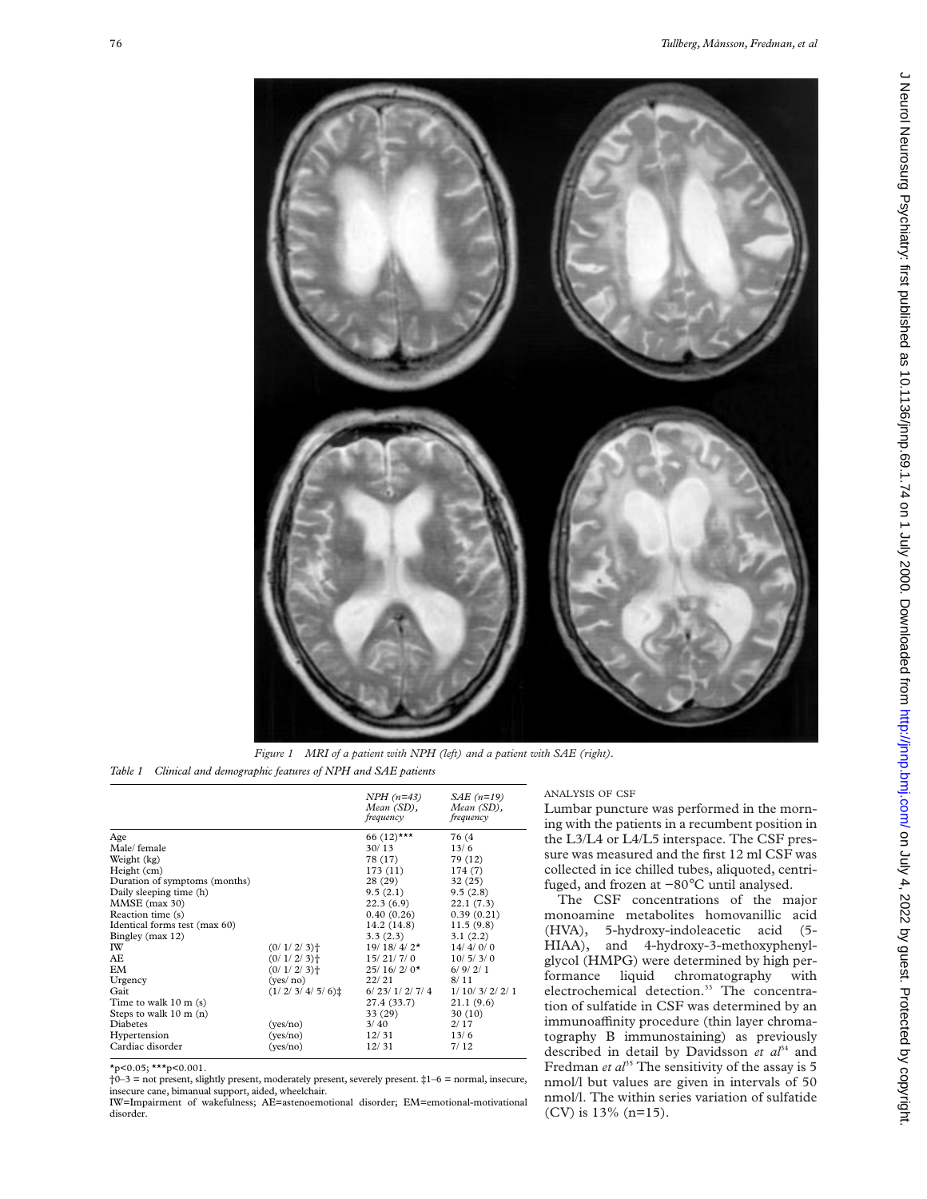

*Figure 1 MRI of a patient with NPH (left) and a patient with SAE (right). Table 1 Clinical and demographic features of NPH and SAE patients*

|                          | $NPH (n=43)$<br>Mean (SD),<br>frequency | $SAE(n=19)$<br>Mean (SD),<br>frequency      |
|--------------------------|-----------------------------------------|---------------------------------------------|
|                          | 66 $(12)$ ***                           | 76 (4                                       |
|                          |                                         | 13/6                                        |
|                          |                                         | 79 (12)                                     |
|                          |                                         | 174(7)                                      |
|                          | 28 (29)                                 | 32(25)                                      |
|                          | 9.5(2.1)                                | 9.5(2.8)                                    |
|                          | 22.3(6.9)                               | 22.1(7.3)                                   |
|                          | 0.40(0.26)                              | 0.39(0.21)                                  |
|                          | 14.2(14.8)                              | 11.5(9.8)                                   |
|                          | 3.3(2.3)                                | 3.1(2.2)                                    |
| $(0/1/2/3)$ <sup>+</sup> | $19/18/4/2*$                            | 14/4/0/0                                    |
| $(0/1/2/3)$ <sup>+</sup> | 15/21/7/0                               | 10/5/3/0                                    |
| $(0/1/2/3)$ <sup>+</sup> |                                         | 6/9/2/1                                     |
| (yes/no)                 | 22/21                                   | 8/11                                        |
| $(1/2/3/4/5/6)$ :        | 6/23/1/2/7/4                            | 1/ 10/ 3/ 2/ 2/ 1                           |
|                          | 27.4 (33.7)                             | 21.1(9.6)                                   |
|                          | 33 (29)                                 | 30(10)                                      |
|                          | 3/40                                    | 2/17                                        |
|                          | 12/31                                   | 13/6                                        |
| (yes/no)                 | 12/31                                   | 7/12                                        |
|                          | (yes/no)<br>(yes/no)                    | 30/13<br>78 (17)<br>173(11)<br>$25/16/2/0*$ |

 $\star_{p<0.05}$ ;  $\star\star\star_{p<0.001}$ .

 $\dagger$ 0–3 = not present, slightly present, moderately present, severely present.  $\ddagger$ 1–6 = normal, insecure, insecure cane, bimanual support, aided, wheelchair.

IW=Impairment of wakefulness; AE=astenoemotional disorder; EM=emotional-motivational disorder.

## ANALYSIS OF CSF

Lumbar puncture was performed in the morning with the patients in a recumbent position in the L3/L4 or L4/L5 interspace. The CSF pressure was measured and the first 12 ml CSF was collected in ice chilled tubes, aliquoted, centrifuged, and frozen at −80°C until analysed.

The CSF concentrations of the major monoamine metabolites homovanillic acid (HVA), 5-hydroxy-indoleacetic acid (5- HIAA), and 4-hydroxy-3-methoxyphenylglycol (HMPG) were determined by high performance liquid chromatography with electrochemical detection.<sup>33</sup> The concentration of sulfatide in CSF was determined by an immunoaffinity procedure (thin layer chromatography B immunostaining) as previously described in detail by Davidsson *et al*<sup>34</sup> and Fredman *et al*<sup>35</sup> The sensitivity of the assay is 5 nmol/l but values are given in intervals of 50 nmol/l. The within series variation of sulfatide (CV) is 13% (n=15).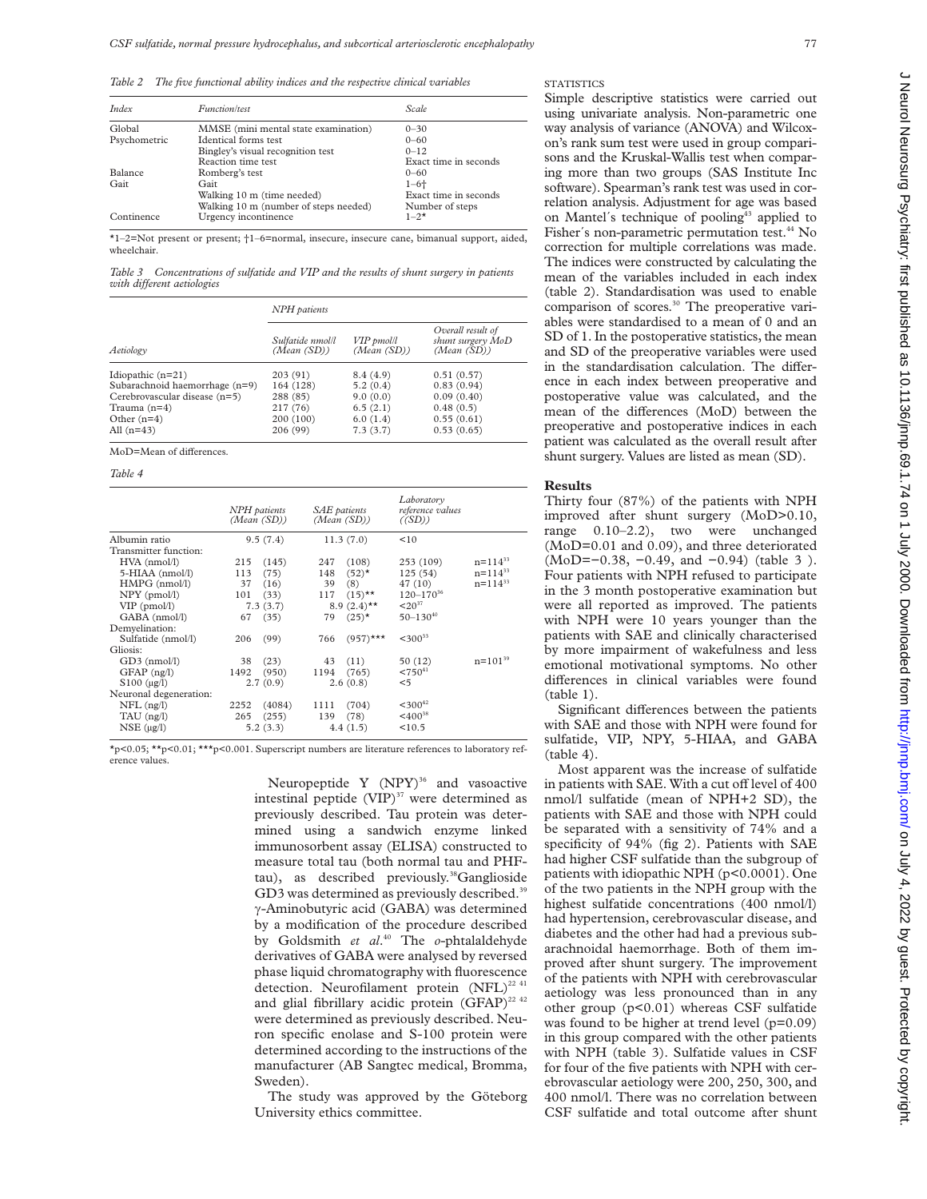*Table 2 The five functional ability indices and the respective clinical variables*

| Index          | <i>Function/test</i>                  | Scale                 |
|----------------|---------------------------------------|-----------------------|
| Global         | MMSE (mini mental state examination)  | $0 - 30$              |
| Psychometric   | Identical forms test                  | $0 - 60$              |
|                | Bingley's visual recognition test     | $0 - 12$              |
|                | Reaction time test                    | Exact time in seconds |
| <b>Balance</b> | Romberg's test                        | $0 - 60$              |
| Gait           | Gait                                  | $1 - 6 +$             |
|                | Walking 10 m (time needed)            | Exact time in seconds |
|                | Walking 10 m (number of steps needed) | Number of steps       |
| Continence     | Urgency incontinence                  | $1 - 2^{*}$           |

\*1–2=Not present or present; †1–6=normal, insecure, insecure cane, bimanual support, aided, wheelchair.

*Table 3 Concentrations of sulfatide and VIP and the results of shunt surgery in patients*  $with$  *different aetiologies* 

|                                  | NPH patients                    |                           |                                                       |  |
|----------------------------------|---------------------------------|---------------------------|-------------------------------------------------------|--|
| Aetiology                        | Sulfatide nmol/l<br>(Mean (SD)) | VIP pmol/l<br>(Mean (SD)) | Overall result of<br>shunt surgery MoD<br>(Mean (SD)) |  |
| Idiopathic $(n=21)$              | 203(91)                         | 8.4(4.9)                  | 0.51(0.57)                                            |  |
| Subarachnoid haemorrhage $(n=9)$ | 164 (128)                       | 5.2(0.4)                  | 0.83(0.94)                                            |  |
| Cerebrovascular disease (n=5)    | 288 (85)                        | 9.0(0.0)                  | 0.09(0.40)                                            |  |
| Trauma $(n=4)$                   | 217 (76)                        | 6.5(2.1)                  | 0.48(0.5)                                             |  |
| Other $(n=4)$                    | 200 (100)                       | 6.0(1.4)                  | 0.55(0.61)                                            |  |
| All $(n=43)$                     | 206 (99)                        | 7.3(3.7)                  | 0.53(0.65)                                            |  |

MoD=Mean of differences.

*Table 4*

|                        | NPH patients<br>(Mean (SD)) | SAE patients<br>(Mean (SD)) | Laboratory<br>reference values<br>$(\langle SD \rangle)$ |
|------------------------|-----------------------------|-----------------------------|----------------------------------------------------------|
| Albumin ratio          | 9.5(7.4)                    | 11.3(7.0)                   | <10                                                      |
| Transmitter function:  |                             |                             |                                                          |
| $HVA$ (nmol/l)         | (145)<br>215                | (108)<br>247                | $n = 114^{33}$<br>253 (109)                              |
| 5-HIAA (nmol/l)        | (75)<br>113                 | $(52)^*$<br>148             | $n = 114^{33}$<br>125(54)                                |
| $HMPG$ (nmol/l)        | 37<br>(16)                  | 39<br>(8)                   | $n = 114^{33}$<br>47 (10)                                |
| $NPY$ (pmol/l)         | (33)<br>101                 | $(15)$ **<br>117            | $120 - 170^{36}$                                         |
| $VIP$ (pmol/l)         | 7.3(3.7)                    | 8.9 $(2.4)$ <sup>**</sup>   | $< 20^{37}$                                              |
| GABA (nmol/l)          | 67<br>(35)                  | $(25)^*$<br>79              | $50 - 130^{40}$                                          |
| Demyelination:         |                             |                             |                                                          |
| Sulfatide (nmol/l)     | (99)<br>206                 | $(957)$ ***<br>766          | $<$ 300 <sup>33</sup>                                    |
| Gliosis:               |                             |                             |                                                          |
| $GD3$ (nmol/l)         | (23)<br>38                  | (11)<br>43                  | $n = 101^{39}$<br>50 (12)                                |
| GFAP (ng/l)            | (950)<br>1492               | (765)<br>1194               | $< 750^{41}$                                             |
| $$100 (\mu g/l)$       | 2.7(0.9)                    | 2.6(0.8)                    | $<$ 5                                                    |
| Neuronal degeneration: |                             |                             |                                                          |
| $NFL$ (ng/l)           | 2252<br>(4084)              | (704)<br>1111               | $<$ 300 <sup>42</sup>                                    |
| TAU (ng/l)             | 265<br>(255)                | (78)<br>139                 | $<$ 400 <sup>38</sup>                                    |
| $NSE$ ( $\mu$ g/l)     | 5.2(3.3)                    | 4.4(1.5)                    | < 10.5                                                   |

\*p<0.05; \*\*p<0.01; \*\*\*p<0.001. Superscript numbers are literature references to laboratory reference values.

> Neuropeptide Y (NPY)<sup>36</sup> and vasoactive intestinal peptide (VIP)<sup>37</sup> were determined as previously described. Tau protein was determined using a sandwich enzyme linked immunosorbent assay (ELISA) constructed to measure total tau (both normal tau and PHFtau), as described previously.<sup>38</sup>Ganglioside GD3 was determined as previously described.<sup>39</sup> ã-Aminobutyric acid (GABA) was determined by a modification of the procedure described by Goldsmith *et al*. <sup>40</sup> The *o*-phtalaldehyde derivatives of GABA were analysed by reversed phase liquid chromatography with fluorescence detection. Neurofilament protein  $(NFL)^{22}$ <sup>41</sup> and glial fibrillary acidic protein (GFAP)<sup>22 42</sup> were determined as previously described. Neuron specific enolase and S-100 protein were determined according to the instructions of the manufacturer (AB Sangtec medical, Bromma, Sweden).

> The study was approved by the Göteborg University ethics committee.

**STATISTICS** 

Simple descriptive statistics were carried out using univariate analysis. Non-parametric one way analysis of variance (ANOVA) and Wilcoxon's rank sum test were used in group comparisons and the Kruskal-Wallis test when comparing more than two groups (SAS Institute Inc software). Spearman's rank test was used in correlation analysis. Adjustment for age was based on Mantel's technique of pooling<sup>43</sup> applied to Fisher's non-parametric permutation test.<sup>44</sup> No correction for multiple correlations was made. The indices were constructed by calculating the mean of the variables included in each index (table 2). Standardisation was used to enable comparison of scores.<sup>30</sup> The preoperative variables were standardised to a mean of 0 and an SD of 1. In the postoperative statistics, the mean and SD of the preoperative variables were used in the standardisation calculation. The difference in each index between preoperative and postoperative value was calculated, and the mean of the differences (MoD) between the preoperative and postoperative indices in each patient was calculated as the overall result after shunt surgery. Values are listed as mean (SD).

### **Results**

Thirty four (87%) of the patients with NPH improved after shunt surgery (MoD>0.10, range 0.10–2.2), two were unchanged (MoD=0.01 and 0.09), and three deteriorated (MoD=−0.38, −0.49, and −0.94) (table 3 ). Four patients with NPH refused to participate in the 3 month postoperative examination but were all reported as improved. The patients with NPH were 10 years younger than the patients with SAE and clinically characterised by more impairment of wakefulness and less emotional motivational symptoms. No other differences in clinical variables were found (table 1).

Significant differences between the patients with SAE and those with NPH were found for sulfatide, VIP, NPY, 5-HIAA, and GABA (table 4).

Most apparent was the increase of sulfatide in patients with SAE. With a cut off level of 400 nmol/l sulfatide (mean of NPH+2 SD), the patients with SAE and those with NPH could be separated with a sensitivity of 74% and a specificity of 94% (fig 2). Patients with SAE had higher CSF sulfatide than the subgroup of patients with idiopathic NPH (p<0.0001). One of the two patients in the NPH group with the highest sulfatide concentrations (400 nmol/l) had hypertension, cerebrovascular disease, and diabetes and the other had had a previous subarachnoidal haemorrhage. Both of them improved after shunt surgery. The improvement of the patients with NPH with cerebrovascular aetiology was less pronounced than in any other group (p<0.01) whereas CSF sulfatide was found to be higher at trend level  $(p=0.09)$ in this group compared with the other patients with NPH (table 3). Sulfatide values in CSF for four of the five patients with NPH with cerebrovascular aetiology were 200, 250, 300, and 400 nmol/l. There was no correlation between CSF sulfatide and total outcome after shunt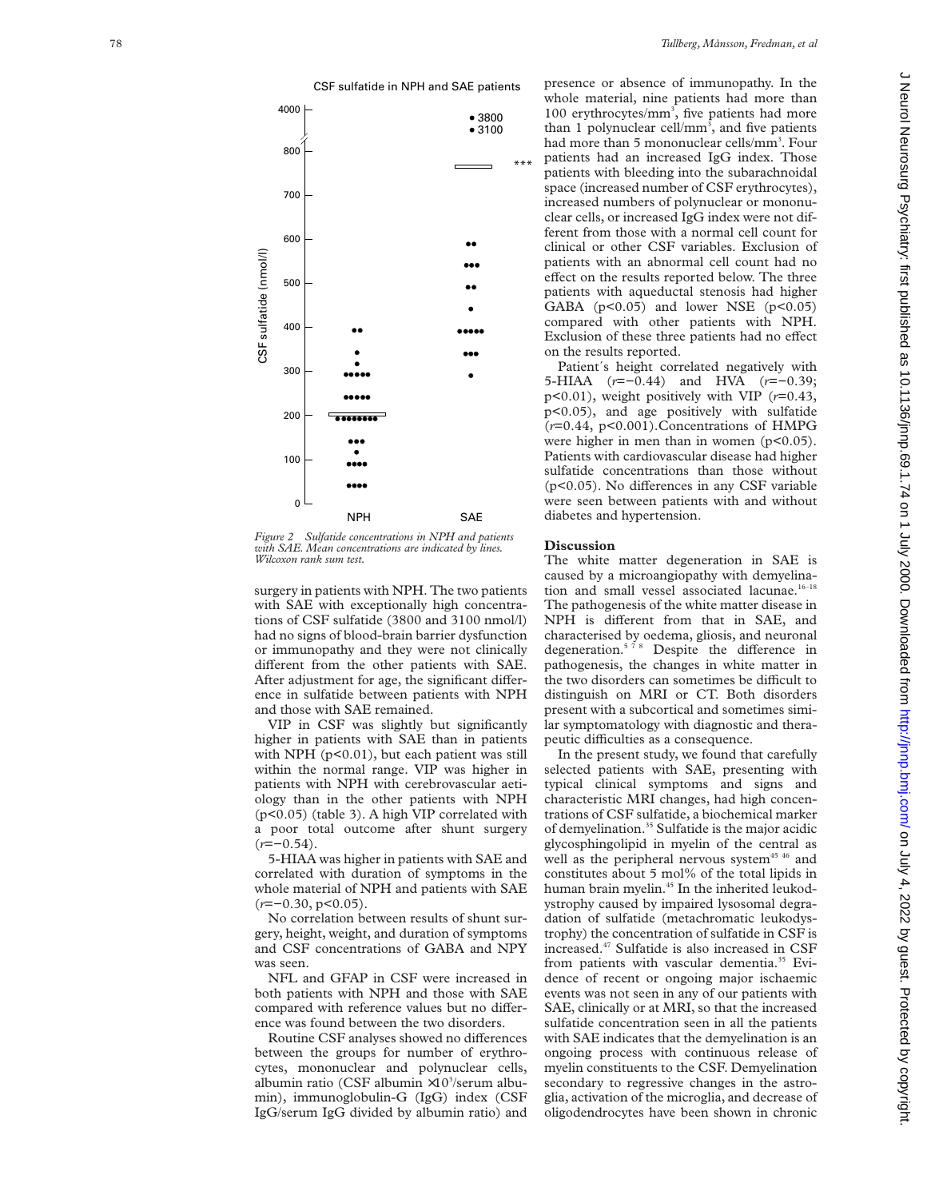

*Figure 2 Sulfatide concentrations in NPH and patients with SAE. Mean concentrations are indicated by lines. Wilcoxon rank sum test.*

surgery in patients with NPH. The two patients with SAE with exceptionally high concentrations of CSF sulfatide (3800 and 3100 nmol/l) had no signs of blood-brain barrier dysfunction or immunopathy and they were not clinically different from the other patients with SAE. After adjustment for age, the significant difference in sulfatide between patients with NPH and those with SAE remained.

VIP in CSF was slightly but significantly higher in patients with SAE than in patients with NPH  $(p<0.01)$ , but each patient was still within the normal range. VIP was higher in patients with NPH with cerebrovascular aetiology than in the other patients with NPH (p<0.05) (table 3). A high VIP correlated with a poor total outcome after shunt surgery (*r*=−0.54).

5-HIAA was higher in patients with SAE and correlated with duration of symptoms in the whole material of NPH and patients with SAE (*r*=−0.30, p<0.05).

No correlation between results of shunt surgery, height, weight, and duration of symptoms and CSF concentrations of GABA and NPY was seen.

NFL and GFAP in CSF were increased in both patients with NPH and those with SAE compared with reference values but no difference was found between the two disorders.

Routine CSF analyses showed no differences between the groups for number of erythrocytes, mononuclear and polynuclear cells, albumin ratio (CSF albumin ×10<sup>3</sup>/serum albumin), immunoglobulin-G (IgG) index (CSF IgG/serum IgG divided by albumin ratio) and presence or absence of immunopathy. In the whole material, nine patients had more than 100 erythrocytes/mm 3 , five patients had more than 1 polynuclear cell/mm 3 , and five patients had more than 5 mononuclear cells/mm 3 . Four patients had an increased IgG index. Those patients with bleeding into the subarachnoidal space (increased number of CSF erythrocytes), increased numbers of polynuclear or mononuclear cells, or increased IgG index were not different from those with a normal cell count for clinical or other CSF variables. Exclusion of patients with an abnormal cell count had no effect on the results reported below. The three patients with aqueductal stenosis had higher GABA ( $p<0.05$ ) and lower NSE ( $p<0.05$ ) compared with other patients with NPH. Exclusion of these three patients had no effect on the results reported.

Patient´s height correlated negatively with 5-HIAA ( *r*=−0.44) and HVA ( *r*=−0.39; p<0.01), weight positively with VIP ( *r*=0.43, p<0.05), and age positively with sulfatide (*r*=0.44, p<0.001).Concentrations of HMPG were higher in men than in women  $(p<0.05)$ . Patients with cardiovascular disease had higher sulfatide concentrations than those without (p<0.05). No differences in any CSF variable were seen between patients with and without diabetes and hypertension.

#### **Discussion**

The white matter degeneration in SAE is caused by a microangiopathy with demyelination and small vessel associated lacunae.<sup>16-18</sup> The pathogenesis of the white matter disease in NPH is different from that in SAE, and characterised by oedema, gliosis, and neuronal degeneration.<sup>578</sup> Despite the difference in pathogenesis, the changes in white matter in the two disorders can sometimes be difficult to distinguish on MRI or CT. Both disorders present with a subcortical and sometimes similar symptomatology with diagnostic and therapeutic difficulties as a consequence.

In the present study, we found that carefully selected patients with SAE, presenting with typical clinical symptoms and signs and characteristic MRI changes, had high concentrations of CSF sulfatide, a biochemical marker of demyelination.<sup>35</sup> Sulfatide is the major acidic glycosphingolipid in myelin of the central as well as the peripheral nervous system<sup>45 46</sup> and constitutes about 5 mol% of the total lipids in human brain myelin.<sup>45</sup> In the inherited leukodystrophy caused by impaired lysosomal degradation of sulfatide (metachromatic leukodystrophy) the concentration of sulfatide in CSF is increased.47 Sulfatide is also increased in CSF from patients with vascular dementia.<sup>35</sup> Evidence of recent or ongoing major ischaemic events was not seen in any of our patients with SAE, clinically or at MRI, so that the increased sulfatide concentration seen in all the patients with SAE indicates that the demyelination is an ongoing process with continuous release of myelin constituents to the CSF. Demyelination secondary to regressive changes in the astroglia, activation of the microglia, and decrease of oligodendrocytes have been shown in chronic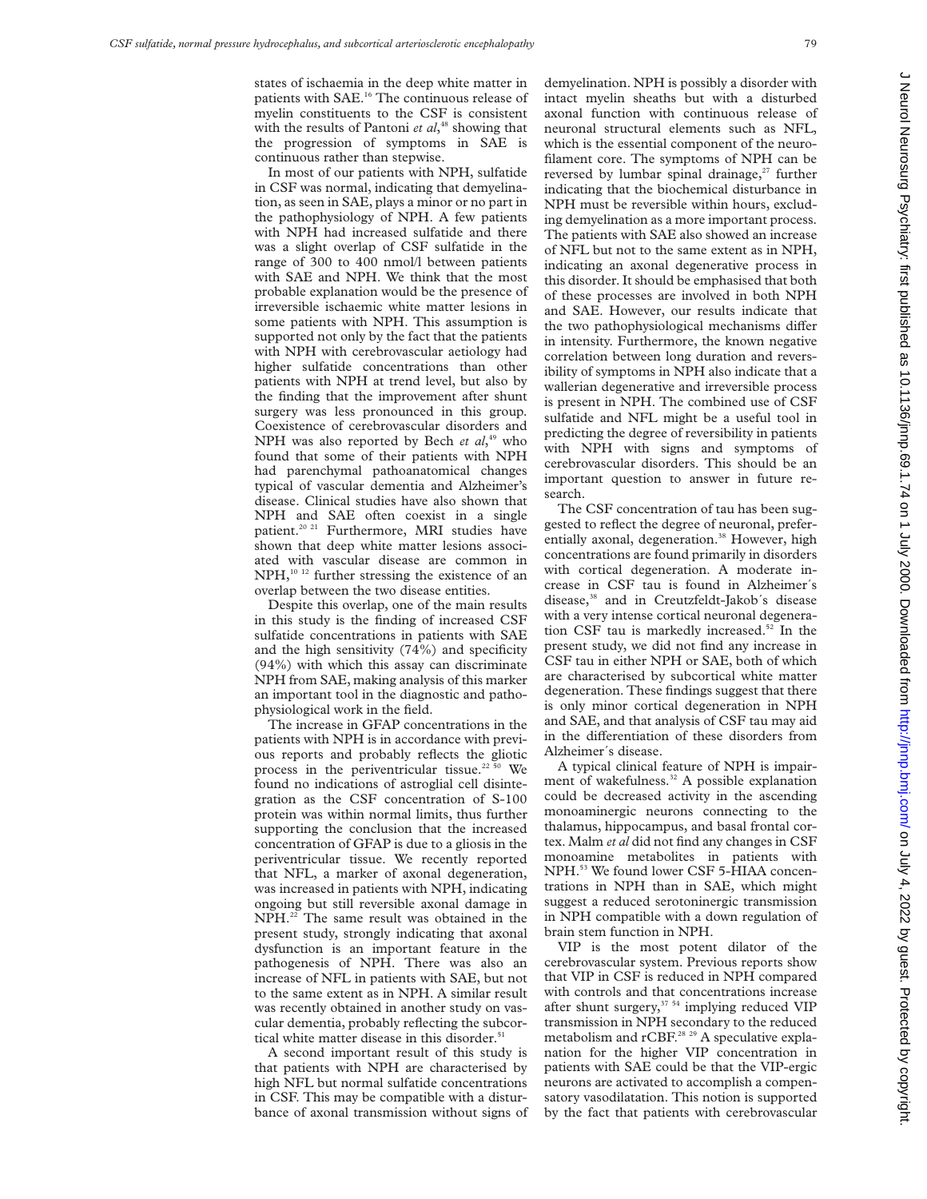states of ischaemia in the deep white matter in patients with SAE.<sup>16</sup> The continuous release of myelin constituents to the CSF is consistent with the results of Pantoni *et al*, <sup>48</sup> showing that the progression of symptoms in SAE is continuous rather than stepwise.

In most of our patients with NPH, sulfatide in CSF was normal, indicating that demyelination, as seen in SAE, plays a minor or no part in the pathophysiology of NPH. A few patients with NPH had increased sulfatide and there was a slight overlap of CSF sulfatide in the range of 300 to 400 nmol/l between patients with SAE and NPH. We think that the most probable explanation would be the presence of irreversible ischaemic white matter lesions in some patients with NPH. This assumption is supported not only by the fact that the patients with NPH with cerebrovascular aetiology had higher sulfatide concentrations than other patients with NPH at trend level, but also by the finding that the improvement after shunt surgery was less pronounced in this group. Coexistence of cerebrovascular disorders and NPH was also reported by Bech *et al*,<sup>49</sup> who found that some of their patients with NPH had parenchymal pathoanatomical changes typical of vascular dementia and Alzheimer's disease. Clinical studies have also shown that NPH and SAE often coexist in a single patient.<sup>20 21</sup> Furthermore, MRI studies have shown that deep white matter lesions associated with vascular disease are common in  $NPH<sub>10-12</sub>$  further stressing the existence of an overlap between the two disease entities.

Despite this overlap, one of the main results in this study is the finding of increased CSF sulfatide concentrations in patients with SAE and the high sensitivity (74%) and specificity (94%) with which this assay can discriminate NPH from SAE, making analysis of this marker an important tool in the diagnostic and pathophysiological work in the field.

The increase in GFAP concentrations in the patients with NPH is in accordance with previous reports and probably reflects the gliotic process in the periventricular tissue.<sup>22 50</sup> We found no indications of astroglial cell disintegration as the CSF concentration of S-100 protein was within normal limits, thus further supporting the conclusion that the increased concentration of GFAP is due to a gliosis in the periventricular tissue. We recently reported that NFL, a marker of axonal degeneration, was increased in patients with NPH, indicating ongoing but still reversible axonal damage in NPH.22 The same result was obtained in the present study, strongly indicating that axonal dysfunction is an important feature in the pathogenesis of NPH. There was also an increase of NFL in patients with SAE, but not to the same extent as in NPH. A similar result was recently obtained in another study on vascular dementia, probably reflecting the subcortical white matter disease in this disorder.<sup>51</sup>

A second important result of this study is that patients with NPH are characterised by high NFL but normal sulfatide concentrations in CSF. This may be compatible with a disturbance of axonal transmission without signs of demyelination. NPH is possibly a disorder with intact myelin sheaths but with a disturbed axonal function with continuous release of neuronal structural elements such as NFL, which is the essential component of the neurofilament core. The symptoms of NPH can be reversed by lumbar spinal drainage, $27$  further indicating that the biochemical disturbance in NPH must be reversible within hours, excluding demyelination as a more important process. The patients with SAE also showed an increase of NFL but not to the same extent as in NPH, indicating an axonal degenerative process in this disorder. It should be emphasised that both of these processes are involved in both NPH and SAE. However, our results indicate that the two pathophysiological mechanisms differ in intensity. Furthermore, the known negative correlation between long duration and reversibility of symptoms in NPH also indicate that a wallerian degenerative and irreversible process is present in NPH. The combined use of CSF sulfatide and NFL might be a useful tool in predicting the degree of reversibility in patients with NPH with signs and symptoms of cerebrovascular disorders. This should be an important question to answer in future research.

The CSF concentration of tau has been suggested to reflect the degree of neuronal, preferentially axonal, degeneration.<sup>38</sup> However, high concentrations are found primarily in disorders with cortical degeneration. A moderate increase in CSF tau is found in Alzheimer´s disease,<sup>38</sup> and in Creutzfeldt-Jakob's disease with a very intense cortical neuronal degeneration CSF tau is markedly increased.<sup>52</sup> In the present study, we did not find any increase in CSF tau in either NPH or SAE, both of which are characterised by subcortical white matter degeneration. These findings suggest that there is only minor cortical degeneration in NPH and SAE, and that analysis of CSF tau may aid in the differentiation of these disorders from Alzheimer´s disease.

A typical clinical feature of NPH is impairment of wakefulness.<sup>32</sup> A possible explanation could be decreased activity in the ascending monoaminergic neurons connecting to the thalamus, hippocampus, and basal frontal cortex. Malm *et al* did not find any changes in CSF monoamine metabolites in patients with NPH.53 We found lower CSF 5-HIAA concentrations in NPH than in SAE, which might suggest a reduced serotoninergic transmission in NPH compatible with a down regulation of brain stem function in NPH.

VIP is the most potent dilator of the cerebrovascular system. Previous reports show that VIP in CSF is reduced in NPH compared with controls and that concentrations increase after shunt surgery,<sup>37 54</sup> implying reduced VIP transmission in NPH secondary to the reduced metabolism and rCBF.<sup>28 29</sup> A speculative explanation for the higher VIP concentration in patients with SAE could be that the VIP-ergic neurons are activated to accomplish a compensatory vasodilatation. This notion is supported by the fact that patients with cerebrovascular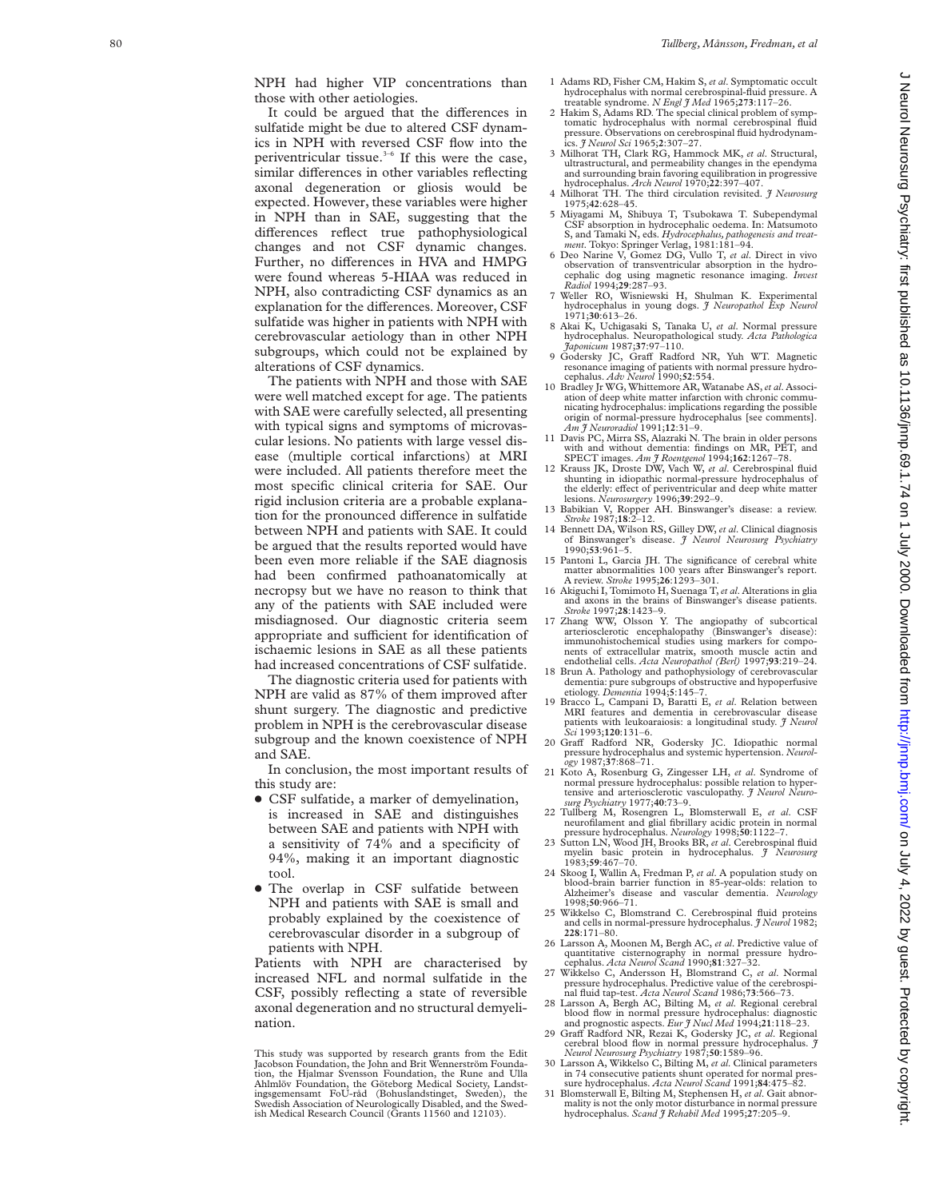NPH had higher VIP concentrations than those with other aetiologies.

It could be argued that the differences in sulfatide might be due to altered CSF dynamics in NPH with reversed CSF flow into the periventricular tissue.3–6 If this were the case, similar differences in other variables reflecting axonal degeneration or gliosis would be expected. However, these variables were higher in NPH than in SAE, suggesting that the differences reflect true pathophysiological changes and not CSF dynamic changes. Further, no differences in HVA and HMPG were found whereas 5-HIAA was reduced in NPH, also contradicting CSF dynamics as an explanation for the differences. Moreover, CSF sulfatide was higher in patients with NPH with cerebrovascular aetiology than in other NPH subgroups, which could not be explained by alterations of CSF dynamics.

The patients with NPH and those with SAE were well matched except for age. The patients with SAE were carefully selected, all presenting with typical signs and symptoms of microvascular lesions. No patients with large vessel disease (multiple cortical infarctions) at MRI were included. All patients therefore meet the most specific clinical criteria for SAE. Our rigid inclusion criteria are a probable explanation for the pronounced difference in sulfatide between NPH and patients with SAE. It could be argued that the results reported would have been even more reliable if the SAE diagnosis had been confirmed pathoanatomically at necropsy but we have no reason to think that any of the patients with SAE included were misdiagnosed. Our diagnostic criteria seem appropriate and sufficient for identification of ischaemic lesions in SAE as all these patients had increased concentrations of CSF sulfatide.

The diagnostic criteria used for patients with NPH are valid as 87% of them improved after shunt surgery. The diagnostic and predictive problem in NPH is the cerebrovascular disease subgroup and the known coexistence of NPH and SAE.

In conclusion, the most important results of this study are:

- CSF sulfatide, a marker of demyelination, is increased in SAE and distinguishes between SAE and patients with NPH with a sensitivity of 74% and a specificity of 94%, making it an important diagnostic tool.
- The overlap in CSF sulfatide between NPH and patients with SAE is small and probably explained by the coexistence of cerebrovascular disorder in a subgroup of patients with NPH.

Patients with NPH are characterised by increased NFL and normal sulfatide in the CSF, possibly reflecting a state of reversible axonal degeneration and no structural demyelination.

- 1 Adams RD, Fisher CM, Hakim S, *et al*. Symptomatic occult hydrocephalus with normal cerebrospinal-fluid pressure. A treatable syndrome. *N Engl J Med* 1965;**273**:117–26.
- 2 Hakim S, Adams RD. The special clinical problem of symptomatic hydrocephalus with normal cerebrospinal fluid pressure. Observations on cerebrospinal fluid hydrodynamics. *J Neurol Sci* 1965;**2**:307–27.
- 3 Milhorat TH, Clark RG, Hammock MK, *et al*. Structural, ultrastructural, and permeability changes in the ependyma and surrounding brain favoring equilibration in progressive hydrocephalus. *Arch Neurol* 1970;**22**:397–407.
- 4 Milhorat TH. The third circulation revisited. *J Neurosurg* 1975;**42**:628–45.
- 5 Miyagami M, Shibuya T, Tsubokawa T. Subependymal CSF absorption in hydrocephalic oedema. In: Matsumoto S, and Tamaki N, eds. *Hydrocephalus, pathogenesis and treat-ment*. Tokyo: Springer Verlag, 1981:181–94.
- 6 Deo Narine V, Gomez DG, Vullo T, *et al*. Direct in vivo observation of transventricular absorption in the hydrocephalic dog using magnetic resonance imaging. *Invest Radiol* 1994;**29**:287–93.
- 7 Weller RO, Wisniewski H, Shulman K. Experimental hydrocephalus in young dogs. *J Neuropathol Exp Neurol* 1971;**30**:613–26.
- 8 Akai K, Uchigasaki S, Tanaka U, *et al*. Normal pressure hydrocephalus. Neuropathological study. *Acta Pathologica Japonicum* 1987;**37**:97–110.
- 9 Godersky JC, Graff Radford NR, Yuh WT. Magnetic resonance imaging of patients with normal pressure hydrocephalus. *Adv Neurol* 1990;**52**:554.
- 10 Bradley Jr WG, Whittemore AR, Watanabe AS,*et al*. Association of deep white matter infarction with chronic communicating hydrocephalus: implications regarding the possible origin of normal-pressure hydrocephalus [see comments]. *Am J Neuroradiol* 1991;**12**:31–9.
- 11 Davis PC, Mirra SS, Alazraki N. The brain in older persons with and without dementia: findings on MR, PET, and SPECT images. *Am J Roentgenol* 1994;**162**:1267–78.
- 12 Krauss JK, Droste DW, Vach W, *et al*. Cerebrospinal fluid shunting in idiopathic normal-pressure hydrocephalus of the elderly: effect of periventricular and deep white matter lesions. *Neurosurgery* 1996;**39**:292–9.
- 13 Babikian V, Ropper AH. Binswanger's disease: a review. *Stroke* 1987;**18**:2–12.
- 14 Bennett DA, Wilson RS, Gilley DW, *et al*. Clinical diagnosis of Binswanger's disease. *J Neurol Neurosurg Psychiatry* 1990;**53**:961–5.
- 15 Pantoni L, Garcia JH. The significance of cerebral white matter abnormalities 100 years after Binswanger's report. A review. *Stroke* 1995;**26**:1293–301.
- 16 Akiguchi I, Tomimoto H, Suenaga T,*et al*. Alterations in glia and axons in the brains of Binswanger's disease patients. *Stroke* 1997;**28**:1423–9.
- 17 Zhang WW, Olsson Y. The angiopathy of subcortical arteriosclerotic encephalopathy (Binswanger's disease): immunohistochemical studies using markers for components of extracellular matrix, smooth muscle actin and endothelial cells. *Acta Neuropathol (Berl)* 1997;**93**:219–24.
- 18 Brun A. Pathology and pathophysiology of cerebrovascular dementia: pure subgroups of obstructive and hypoperfusive etiology. *Dementia* 1994; **5**:145–7.
- 19 Bracco L, Campani D, Baratti E, *et al*. Relation between MRI features and dementia in cerebrovascular disease patients with leukoaraiosis: a longitudinal study. *J Neurol Sci* 1993;**120**:131–6.
- 20 Graff Radford NR, Godersky JC. Idiopathic normal pressure hydrocephalus and systemic hypertension. *Neurol-ogy* 1987;**37**:868–71.
- 21 Koto A, Rosenburg G, Zingesser LH, *et al*. Syndrome of normal pressure hydrocephalus: possible relation to hypertensive and arteriosclerotic vasculopathy. *J Neurol Neuro-*
- surg Psychiatry 1977;40:73-9.<br>22 Tullberg M, Rosengren L, Blomsterwall E, et al. CSF<br>neurofilament and glial fibrillary acidic protein in normal<br>pressure hydrocephalus. Neurology 1998;50:1122-7.
- 23 Sutton LN, Wood JH, Brooks BR, *et al*. Cerebrospinal fluid myelin basic protein in hydrocephalus. *J Neurosurg* 1983;**59**:467–70.
- 24 Skoog I, Wallin A, Fredman P, *et al*. A population study on blood-brain barrier function in 85-year-olds: relation to Alzheimer's disease and vascular dementia. *Neurology* 1998;**50**:966–71.
- 25 Wikkelso C, Blomstrand C. Cerebrospinal fluid proteins and cells in normal-pressure hydrocephalus. *J Neurol* 1982; **228**:171–80.
- 26 Larsson A, Moonen M, Bergh AC, *et al*. Predictive value of quantitative cisternography in normal pressure hydro-cephalus. *Acta Neurol Scand* 1990;**81**:327–32.
- 27 Wikkelso C, Andersson H, Blomstrand C, *et al*. Normal pressure hydrocephalus. Predictive value of the cerebrospinal fluid tap-test. *Acta Neurol Scand* 1986;**73**:566–73. 28 Larsson A, Bergh AC, Bilting M, *et al*. Regional cerebral
- blood flow in normal pressure hydrocephalus: diagnostic and prognostic aspects. *Eur J Nucl Med* 1994;**21**:118–23.
- 29 Gra V Radford NR, Rezai K, Godersky JC, *et al*. Regional cerebral blood flow in normal pressure hydrocephalus. *J Neurol Neurosurg Psychiatry* 1987;**50**:1589–96.
- 30 Larsson A, Wikkelso C, Bilting M, *et al*. Clinical parameters in 74 consecutive patients shunt operated for normal pres-sure hydrocephalus. *Acta Neurol Scand* 1991;**84**:475–82.
- 31 Blomsterwall E, Bilting M, Stephensen H, *et al*. Gait abnor-mality is not the only motor disturbance in normal pressure hydrocephalus. *Scand J Rehabil Med* 1995;**27**:205–9.

This study was supported by research grants from the Edit Jacobson Foundation, the John and Brit Wennerström Foundation, the Hjalmar Svensson Foundation, the Rune and Ulla Ahlmlöv Foundation, the Göteborg Medical Society, Landst-ingsgemensamt FoU-råd (Bohuslandstinget, Sweden), the Swedish Association of Neurologically Disabled, and the Swedish Medical Research Council (Grants 11560 and 12103).